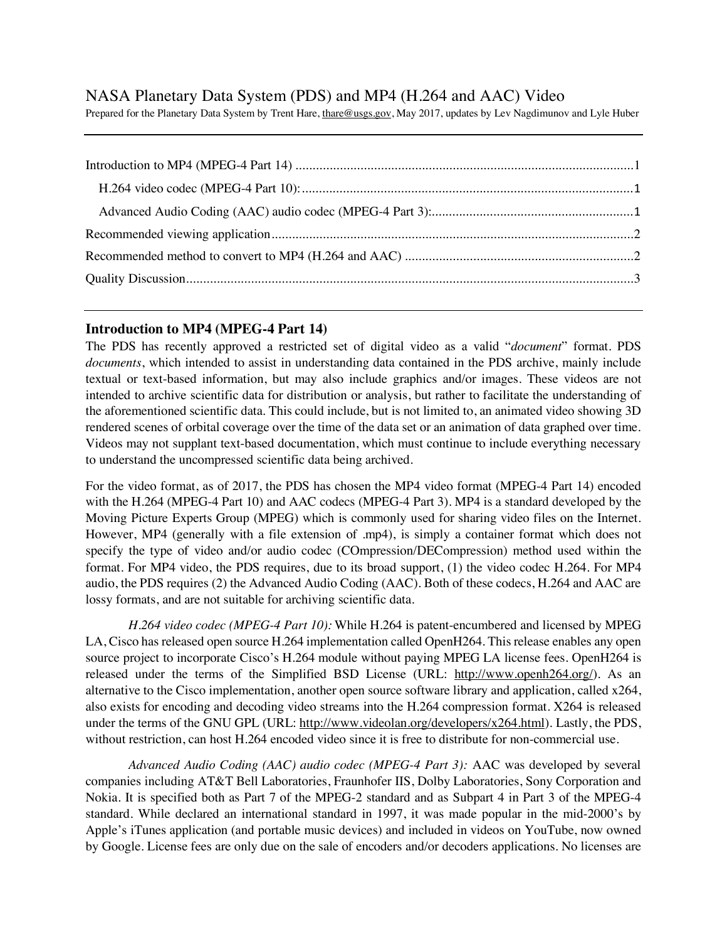# NASA Planetary Data System (PDS) and MP4 (H.264 and AAC) Video

Prepared for the Planetary Data System by Trent Hare, thare@usgs.gov, May 2017, updates by Lev Nagdimunov and Lyle Huber

#### **Introduction to MP4 (MPEG-4 Part 14)**

The PDS has recently approved a restricted set of digital video as a valid "*document*" format. PDS *documents*, which intended to assist in understanding data contained in the PDS archive, mainly include textual or text-based information, but may also include graphics and/or images. These videos are not intended to archive scientific data for distribution or analysis, but rather to facilitate the understanding of the aforementioned scientific data. This could include, but is not limited to, an animated video showing 3D rendered scenes of orbital coverage over the time of the data set or an animation of data graphed over time. Videos may not supplant text-based documentation, which must continue to include everything necessary to understand the uncompressed scientific data being archived.

For the video format, as of 2017, the PDS has chosen the MP4 video format (MPEG-4 Part 14) encoded with the H.264 (MPEG-4 Part 10) and AAC codecs (MPEG-4 Part 3). MP4 is a standard developed by the Moving Picture Experts Group (MPEG) which is commonly used for sharing video files on the Internet. However, MP4 (generally with a file extension of .mp4), is simply a container format which does not specify the type of video and/or audio codec (COmpression/DECompression) method used within the format. For MP4 video, the PDS requires, due to its broad support, (1) the video codec H.264. For MP4 audio, the PDS requires (2) the Advanced Audio Coding (AAC). Both of these codecs, H.264 and AAC are lossy formats, and are not suitable for archiving scientific data.

*H.264 video codec (MPEG-4 Part 10):* While H.264 is patent-encumbered and licensed by MPEG LA, Cisco has released open source H.264 implementation called OpenH264. This release enables any open source project to incorporate Cisco's H.264 module without paying MPEG LA license fees. OpenH264 is released under the terms of the Simplified BSD License (URL: http://www.openh264.org/). As an alternative to the Cisco implementation, another open source software library and application, called x264, also exists for encoding and decoding video streams into the H.264 compression format. X264 is released under the terms of the GNU GPL (URL: http://www.videolan.org/developers/x264.html). Lastly, the PDS, without restriction, can host H.264 encoded video since it is free to distribute for non-commercial use.

*Advanced Audio Coding (AAC) audio codec (MPEG-4 Part 3):* AAC was developed by several companies including AT&T Bell Laboratories, Fraunhofer IIS, Dolby Laboratories, Sony Corporation and Nokia. It is specified both as Part 7 of the MPEG-2 standard and as Subpart 4 in Part 3 of the MPEG-4 standard. While declared an international standard in 1997, it was made popular in the mid-2000's by Apple's iTunes application (and portable music devices) and included in videos on YouTube, now owned by Google. License fees are only due on the sale of encoders and/or decoders applications. No licenses are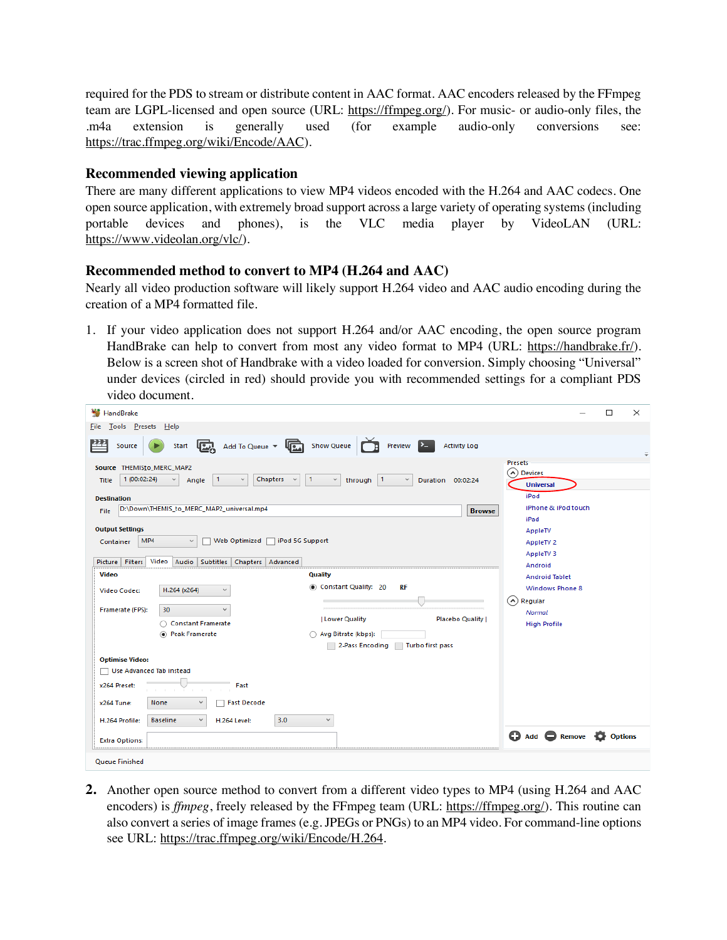required for the PDS to stream or distribute content in AAC format. AAC encoders released by the FFmpeg team are LGPL-licensed and open source (URL: https://ffmpeg.org/). For music- or audio-only files, the .m4a extension is generally used (for example audio-only conversions see: https://trac.ffmpeg.org/wiki/Encode/AAC).

## **Recommended viewing application**

There are many different applications to view MP4 videos encoded with the H.264 and AAC codecs. One open source application, with extremely broad support across a large variety of operating systems (including portable devices and phones), is the VLC media player by VideoLAN (URL: https://www.videolan.org/vlc/).

#### **Recommended method to convert to MP4 (H.264 and AAC)**

Nearly all video production software will likely support H.264 video and AAC audio encoding during the creation of a MP4 formatted file.

1. If your video application does not support H.264 and/or AAC encoding, the open source program HandBrake can help to convert from most any video format to MP4 (URL: https://handbrake.fr/). Below is a screen shot of Handbrake with a video loaded for conversion. Simply choosing "Universal" under devices (circled in red) should provide you with recommended settings for a compliant PDS video document.

| HandBrake                                                                                                                                                                                                                                                                                                                                                                                                                                                                           |                                                                             | $\Box$<br>$\times$                                                         |
|-------------------------------------------------------------------------------------------------------------------------------------------------------------------------------------------------------------------------------------------------------------------------------------------------------------------------------------------------------------------------------------------------------------------------------------------------------------------------------------|-----------------------------------------------------------------------------|----------------------------------------------------------------------------|
| Tools Presets Help<br><b>Eile</b>                                                                                                                                                                                                                                                                                                                                                                                                                                                   |                                                                             |                                                                            |
| Start $\begin{array}{ c c c c }\n\hline\n\text{Start} & \begin{array}{ c c c }\n\hline\n\text{Add To Queue} & \text{if } & \begin{array}{ c c }\n\hline\n\text{Rule} & \text{Show Queue} & \begin{array}{ c c }\n\hline\n\text{Rule} & \text{Show Queue} & \begin{array}{ c c }\n\hline\n\text{Blue} & \text{B} & \text{Slow Value} \\ \hline\n\end{array} & \begin{array}{ c c c }\n\hline\n\text{Blue} & \text{B} & \text{Slow Value} \\ \hline\n\end{array} & \begin{$<br>Source | Preview $\sum$<br><b>Activity Log</b>                                       | $\equiv$                                                                   |
| Source THEMISto_MERC_MAP2<br>1 (00:02:24)<br>Chapters $\vee$<br>$\vert$ 1<br>$\checkmark$<br>Angle<br>Title<br><b>Destination</b>                                                                                                                                                                                                                                                                                                                                                   | $\vert$ 1<br>$\checkmark$<br>through 1<br>$\checkmark$<br>Duration 00:02:24 | <b>Presets</b><br>A) Devices<br><b>Universal</b><br>iPod                   |
| D:\Down\THEMIS_to_MERC_MAP2_universal.mp4<br>File                                                                                                                                                                                                                                                                                                                                                                                                                                   | iPhone & iPod touch                                                         |                                                                            |
| <b>Output Settings</b><br>MP4<br>Web Optimized<br>Container<br>$\checkmark$<br>Picture Filters<br>Video<br>Audio<br>Subtitles   Chapters   Advanced                                                                                                                                                                                                                                                                                                                                 | iPod 5G Support                                                             | iPad<br>AppleTV<br>AppleTV <sub>2</sub><br>AppleTV <sub>3</sub><br>Android |
| Video                                                                                                                                                                                                                                                                                                                                                                                                                                                                               | Quality                                                                     | <b>Android Tablet</b>                                                      |
| H.264 (x264)<br>v<br><b>Video Codec:</b>                                                                                                                                                                                                                                                                                                                                                                                                                                            | Constant Quality: 20<br>RF                                                  | <b>Windows Phone 8</b><br>$(\wedge)$ Regular                               |
| Framerate (FPS):<br>30<br>$\checkmark$                                                                                                                                                                                                                                                                                                                                                                                                                                              |                                                                             | Normal                                                                     |
| ◯ Constant Framerate                                                                                                                                                                                                                                                                                                                                                                                                                                                                | Placebo Quality  <br>  Lower Quality                                        | <b>High Profile</b>                                                        |
| <sup>(a)</sup> Peak Framerate                                                                                                                                                                                                                                                                                                                                                                                                                                                       | Avg Bitrate (kbps):                                                         |                                                                            |
|                                                                                                                                                                                                                                                                                                                                                                                                                                                                                     | 2-Pass Encoding<br>Turbo first pass                                         |                                                                            |
| <b>Optimise Video:</b><br>Use Advanced Tab instead                                                                                                                                                                                                                                                                                                                                                                                                                                  |                                                                             |                                                                            |
| Fast<br>x264 Preset:                                                                                                                                                                                                                                                                                                                                                                                                                                                                |                                                                             |                                                                            |
| None<br><b>Fast Decode</b><br>$\ddot{}$<br>x264 Tune:                                                                                                                                                                                                                                                                                                                                                                                                                               |                                                                             |                                                                            |
| 3.0<br><b>Baseline</b><br>$\checkmark$<br>H.264 Profile:<br><b>H.264 Level:</b>                                                                                                                                                                                                                                                                                                                                                                                                     | $\checkmark$                                                                |                                                                            |
| <b>Extra Options:</b>                                                                                                                                                                                                                                                                                                                                                                                                                                                               |                                                                             | $\bigcirc$ Add $\bigcirc$ Remove<br><b>Options</b>                         |
| Queue Finished                                                                                                                                                                                                                                                                                                                                                                                                                                                                      |                                                                             |                                                                            |

**2.** Another open source method to convert from a different video types to MP4 (using H.264 and AAC encoders) is *ffmpeg*, freely released by the FFmpeg team (URL: https://ffmpeg.org/). This routine can also convert a series of image frames (e.g. JPEGs or PNGs) to an MP4 video. For command-line options see URL: https://trac.ffmpeg.org/wiki/Encode/H.264.